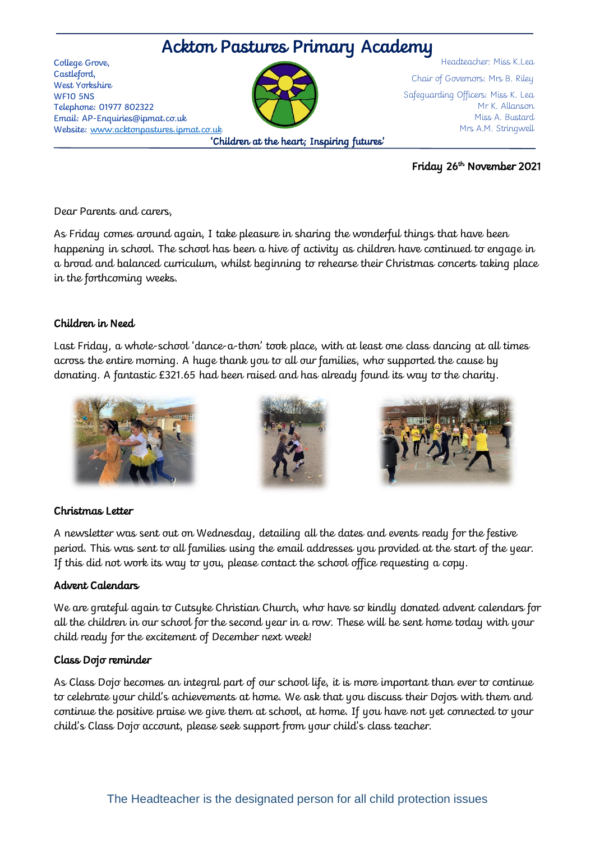# Ackton Pastures Primary Academy

College Grove, Castleford, West Yorkshire WF10 5NS Telephone: 01977 802322 Email: AP-Enquiries@ipmat.co.uk Website: [www.acktonpastures.ipmat.co.uk](http://www.acktonpastures.ipmat.co.uk/)



Headteacher: Miss K.Lea Chair of Governors: Mrs B. Riley Safeguarding Officers: Miss K. Lea Mr K. Allanson Miss A. Bustard Mrs A.M. Stringwell

Friday 26th November 2021

Dear Parents and carers,

As Friday comes around again, I take pleasure in sharing the wonderful things that have been happening in school. The school has been a hive of activity as children have continued to engage in a broad and balanced curriculum, whilst beginning to rehearse their Christmas concerts taking place in the forthcoming weeks.

# Children in Need

Last Friday, a whole-school 'dance-a-thon' took place, with at least one class dancing at all times across the entire morning. A huge thank you to all our families, who supported the cause by donating. A fantastic £321.65 had been raised and has already found its way to the charity.







# Christmas Letter

A newsletter was sent out on Wednesday, detailing all the dates and events ready for the festive period. This was sent to all families using the email addresses you provided at the start of the year. If this did not work its way to you, please contact the school office requesting a copy.

# Advent Calendars

We are grateful again to Cutsyke Christian Church, who have so kindly donated advent calendars for all the children in our school for the second year in a row. These will be sent home today with your child ready for the excitement of December next week!

# Class Dojo reminder

As Class Dojo becomes an integral part of our school life, it is more important than ever to continue to celebrate your child's achievements at home. We ask that you discuss their Dojos with them and continue the positive praise we give them at school, at home. If you have not yet connected to your child's Class Dojo account, please seek support from your child's class teacher.